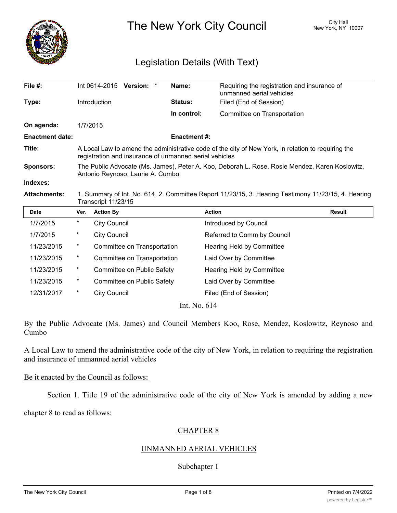

The New York City Council New York, NY 10007

# Legislation Details (With Text)

| File $#$ :             |                                                                                                                                                              |                     | Int 0614-2015 Version: *    |  | Name:               | Requiring the registration and insurance of<br>unmanned aerial vehicles |               |
|------------------------|--------------------------------------------------------------------------------------------------------------------------------------------------------------|---------------------|-----------------------------|--|---------------------|-------------------------------------------------------------------------|---------------|
| Type:                  |                                                                                                                                                              | Introduction        |                             |  | <b>Status:</b>      | Filed (End of Session)                                                  |               |
|                        |                                                                                                                                                              |                     |                             |  | In control:         | Committee on Transportation                                             |               |
| On agenda:             |                                                                                                                                                              | 1/7/2015            |                             |  |                     |                                                                         |               |
| <b>Enactment date:</b> |                                                                                                                                                              |                     |                             |  | <b>Enactment #:</b> |                                                                         |               |
| Title:                 | A Local Law to amend the administrative code of the city of New York, in relation to requiring the<br>registration and insurance of unmanned aerial vehicles |                     |                             |  |                     |                                                                         |               |
| Sponsors:              | The Public Advocate (Ms. James), Peter A. Koo, Deborah L. Rose, Rosie Mendez, Karen Koslowitz,<br>Antonio Reynoso, Laurie A. Cumbo                           |                     |                             |  |                     |                                                                         |               |
| Indexes:               |                                                                                                                                                              |                     |                             |  |                     |                                                                         |               |
| <b>Attachments:</b>    | 1. Summary of Int. No. 614, 2. Committee Report 11/23/15, 3. Hearing Testimony 11/23/15, 4. Hearing<br>Transcript 11/23/15                                   |                     |                             |  |                     |                                                                         |               |
| <b>Date</b>            | Ver.                                                                                                                                                         | <b>Action By</b>    |                             |  |                     | <b>Action</b>                                                           | <b>Result</b> |
| 1/7/2015               | $^\star$                                                                                                                                                     | <b>City Council</b> |                             |  |                     | Introduced by Council                                                   |               |
| 1/7/2015               | $^\star$                                                                                                                                                     | <b>City Council</b> |                             |  |                     | Referred to Comm by Council                                             |               |
| 11/23/2015             | $^\ast$                                                                                                                                                      |                     | Committee on Transportation |  |                     | Hearing Held by Committee                                               |               |
| 11/23/2015             | $^\star$                                                                                                                                                     |                     | Committee on Transportation |  |                     | Laid Over by Committee                                                  |               |
| 11/23/2015             | $^\ast$                                                                                                                                                      |                     | Committee on Public Safety  |  |                     | Hearing Held by Committee                                               |               |
|                        |                                                                                                                                                              |                     |                             |  |                     |                                                                         |               |

Int. No. 614

11/23/2015 \* Committee on Public Safety Laid Over by Committee 12/31/2017 \* City Council Council Filed (End of Session)

By the Public Advocate (Ms. James) and Council Members Koo, Rose, Mendez, Koslowitz, Reynoso and Cumbo

A Local Law to amend the administrative code of the city of New York, in relation to requiring the registration and insurance of unmanned aerial vehicles

#### Be it enacted by the Council as follows:

Section 1. Title 19 of the administrative code of the city of New York is amended by adding a new

chapter 8 to read as follows:

# CHAPTER 8

#### UNMANNED AERIAL VEHICLES

# Subchapter 1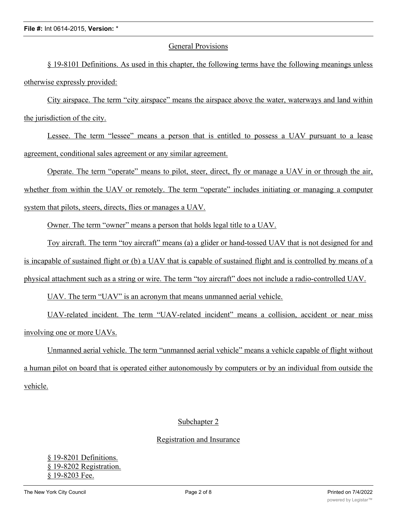## General Provisions

§ 19-8101 Definitions. As used in this chapter, the following terms have the following meanings unless otherwise expressly provided:

City airspace. The term "city airspace" means the airspace above the water, waterways and land within the jurisdiction of the city.

Lessee. The term "lessee" means a person that is entitled to possess a UAV pursuant to a lease agreement, conditional sales agreement or any similar agreement.

Operate. The term "operate" means to pilot, steer, direct, fly or manage a UAV in or through the air, whether from within the UAV or remotely. The term "operate" includes initiating or managing a computer system that pilots, steers, directs, flies or manages a UAV.

Owner. The term "owner" means a person that holds legal title to a UAV.

Toy aircraft. The term "toy aircraft" means (a) a glider or hand-tossed UAV that is not designed for and is incapable of sustained flight or (b) a UAV that is capable of sustained flight and is controlled by means of a physical attachment such as a string or wire. The term "toy aircraft" does not include a radio-controlled UAV.

UAV. The term "UAV" is an acronym that means unmanned aerial vehicle.

UAV-related incident. The term "UAV-related incident" means a collision, accident or near miss involving one or more UAVs.

Unmanned aerial vehicle. The term "unmanned aerial vehicle" means a vehicle capable of flight without a human pilot on board that is operated either autonomously by computers or by an individual from outside the vehicle.

# Subchapter 2

# Registration and Insurance

§ 19-8201 Definitions. § 19-8202 Registration. § 19-8203 Fee.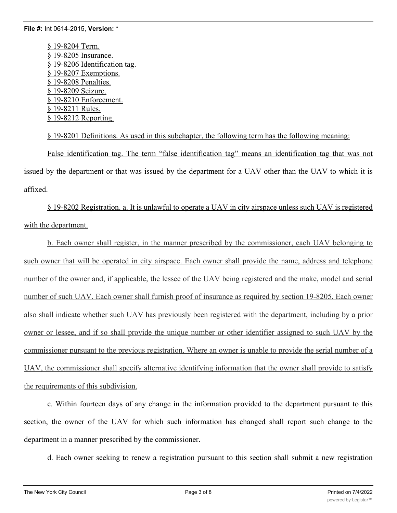§ 19-8204 Term. § 19-8205 Insurance. § 19-8206 Identification tag. § 19-8207 Exemptions. § 19-8208 Penalties. § 19-8209 Seizure. § 19-8210 Enforcement. § 19-8211 Rules. § 19-8212 Reporting.

§ 19-8201 Definitions. As used in this subchapter, the following term has the following meaning: False identification tag. The term "false identification tag" means an identification tag that was not issued by the department or that was issued by the department for a UAV other than the UAV to which it is affixed.

§ 19-8202 Registration. a. It is unlawful to operate a UAV in city airspace unless such UAV is registered with the department.

b. Each owner shall register, in the manner prescribed by the commissioner, each UAV belonging to such owner that will be operated in city airspace. Each owner shall provide the name, address and telephone number of the owner and, if applicable, the lessee of the UAV being registered and the make, model and serial number of such UAV. Each owner shall furnish proof of insurance as required by section 19-8205. Each owner also shall indicate whether such UAV has previously been registered with the department, including by a prior owner or lessee, and if so shall provide the unique number or other identifier assigned to such UAV by the commissioner pursuant to the previous registration. Where an owner is unable to provide the serial number of a UAV, the commissioner shall specify alternative identifying information that the owner shall provide to satisfy the requirements of this subdivision.

c. Within fourteen days of any change in the information provided to the department pursuant to this section, the owner of the UAV for which such information has changed shall report such change to the department in a manner prescribed by the commissioner.

d. Each owner seeking to renew a registration pursuant to this section shall submit a new registration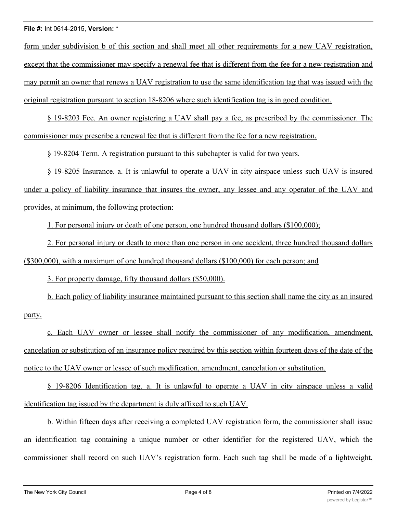form under subdivision b of this section and shall meet all other requirements for a new UAV registration, except that the commissioner may specify a renewal fee that is different from the fee for a new registration and may permit an owner that renews a UAV registration to use the same identification tag that was issued with the original registration pursuant to section 18-8206 where such identification tag is in good condition.

§ 19-8203 Fee. An owner registering a UAV shall pay a fee, as prescribed by the commissioner. The commissioner may prescribe a renewal fee that is different from the fee for a new registration.

§ 19-8204 Term. A registration pursuant to this subchapter is valid for two years.

§ 19-8205 Insurance. a. It is unlawful to operate a UAV in city airspace unless such UAV is insured under a policy of liability insurance that insures the owner, any lessee and any operator of the UAV and provides, at minimum, the following protection:

1. For personal injury or death of one person, one hundred thousand dollars (\$100,000);

2. For personal injury or death to more than one person in one accident, three hundred thousand dollars (\$300,000), with a maximum of one hundred thousand dollars (\$100,000) for each person; and

3. For property damage, fifty thousand dollars (\$50,000).

b. Each policy of liability insurance maintained pursuant to this section shall name the city as an insured party.

c. Each UAV owner or lessee shall notify the commissioner of any modification, amendment, cancelation or substitution of an insurance policy required by this section within fourteen days of the date of the notice to the UAV owner or lessee of such modification, amendment, cancelation or substitution.

§ 19-8206 Identification tag. a. It is unlawful to operate a UAV in city airspace unless a valid identification tag issued by the department is duly affixed to such UAV.

b. Within fifteen days after receiving a completed UAV registration form, the commissioner shall issue an identification tag containing a unique number or other identifier for the registered UAV, which the commissioner shall record on such UAV's registration form. Each such tag shall be made of a lightweight,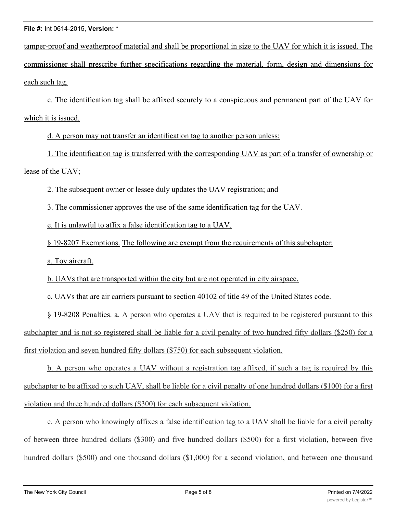tamper-proof and weatherproof material and shall be proportional in size to the UAV for which it is issued. The commissioner shall prescribe further specifications regarding the material, form, design and dimensions for each such tag.

c. The identification tag shall be affixed securely to a conspicuous and permanent part of the UAV for which it is issued.

d. A person may not transfer an identification tag to another person unless:

1. The identification tag is transferred with the corresponding UAV as part of a transfer of ownership or lease of the UAV;

2. The subsequent owner or lessee duly updates the UAV registration; and

3. The commissioner approves the use of the same identification tag for the UAV.

e. It is unlawful to affix a false identification tag to a UAV.

§ 19-8207 Exemptions. The following are exempt from the requirements of this subchapter:

a. Toy aircraft.

b. UAVs that are transported within the city but are not operated in city airspace.

c. UAVs that are air carriers pursuant to section 40102 of title 49 of the United States code.

§ 19-8208 Penalties. a. A person who operates a UAV that is required to be registered pursuant to this subchapter and is not so registered shall be liable for a civil penalty of two hundred fifty dollars (\$250) for a first violation and seven hundred fifty dollars (\$750) for each subsequent violation.

b. A person who operates a UAV without a registration tag affixed, if such a tag is required by this subchapter to be affixed to such UAV, shall be liable for a civil penalty of one hundred dollars (\$100) for a first violation and three hundred dollars (\$300) for each subsequent violation.

c. A person who knowingly affixes a false identification tag to a UAV shall be liable for a civil penalty of between three hundred dollars (\$300) and five hundred dollars (\$500) for a first violation, between five hundred dollars (\$500) and one thousand dollars (\$1,000) for a second violation, and between one thousand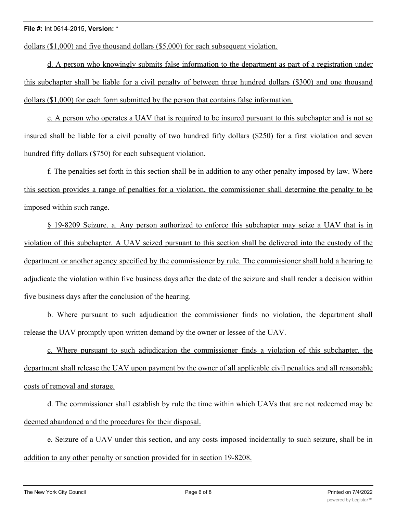dollars (\$1,000) and five thousand dollars (\$5,000) for each subsequent violation.

d. A person who knowingly submits false information to the department as part of a registration under this subchapter shall be liable for a civil penalty of between three hundred dollars (\$300) and one thousand dollars (\$1,000) for each form submitted by the person that contains false information.

e. A person who operates a UAV that is required to be insured pursuant to this subchapter and is not so insured shall be liable for a civil penalty of two hundred fifty dollars (\$250) for a first violation and seven hundred fifty dollars (\$750) for each subsequent violation.

f. The penalties set forth in this section shall be in addition to any other penalty imposed by law. Where this section provides a range of penalties for a violation, the commissioner shall determine the penalty to be imposed within such range.

§ 19-8209 Seizure. a. Any person authorized to enforce this subchapter may seize a UAV that is in violation of this subchapter. A UAV seized pursuant to this section shall be delivered into the custody of the department or another agency specified by the commissioner by rule. The commissioner shall hold a hearing to adjudicate the violation within five business days after the date of the seizure and shall render a decision within five business days after the conclusion of the hearing.

b. Where pursuant to such adjudication the commissioner finds no violation, the department shall release the UAV promptly upon written demand by the owner or lessee of the UAV.

c. Where pursuant to such adjudication the commissioner finds a violation of this subchapter, the department shall release the UAV upon payment by the owner of all applicable civil penalties and all reasonable costs of removal and storage.

d. The commissioner shall establish by rule the time within which UAVs that are not redeemed may be deemed abandoned and the procedures for their disposal.

e. Seizure of a UAV under this section, and any costs imposed incidentally to such seizure, shall be in addition to any other penalty or sanction provided for in section 19-8208.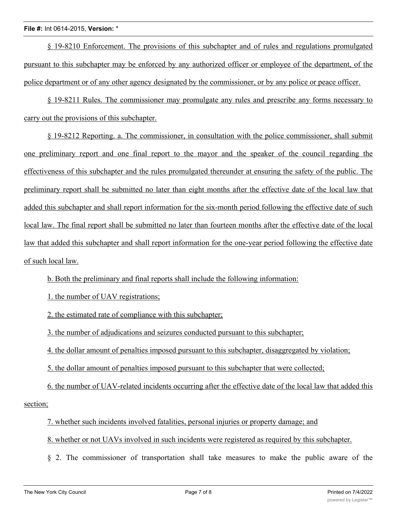§ 19-8210 Enforcement. The provisions of this subchapter and of rules and regulations promulgated pursuant to this subchapter may be enforced by any authorized officer or employee of the department, of the police department or of any other agency designated by the commissioner, or by any police or peace officer.

§ 19-8211 Rules. The commissioner may promulgate any rules and prescribe any forms necessary to carry out the provisions of this subchapter.

§ 19-8212 Reporting. a. The commissioner, in consultation with the police commissioner, shall submit one preliminary report and one final report to the mayor and the speaker of the council regarding the effectiveness of this subchapter and the rules promulgated thereunder at ensuring the safety of the public. The preliminary report shall be submitted no later than eight months after the effective date of the local law that added this subchapter and shall report information for the six-month period following the effective date of such local law. The final report shall be submitted no later than fourteen months after the effective date of the local law that added this subchapter and shall report information for the one-year period following the effective date of such local law.

b. Both the preliminary and final reports shall include the following information:

1. the number of UAV registrations;

2. the estimated rate of compliance with this subchapter;

3. the number of adjudications and seizures conducted pursuant to this subchapter;

4. the dollar amount of penalties imposed pursuant to this subchapter, disaggregated by violation;

5. the dollar amount of penalties imposed pursuant to this subchapter that were collected;

6. the number of UAV-related incidents occurring after the effective date of the local law that added this section;

7. whether such incidents involved fatalities, personal injuries or property damage; and

8. whether or not UAVs involved in such incidents were registered as required by this subchapter.

§ 2. The commissioner of transportation shall take measures to make the public aware of the